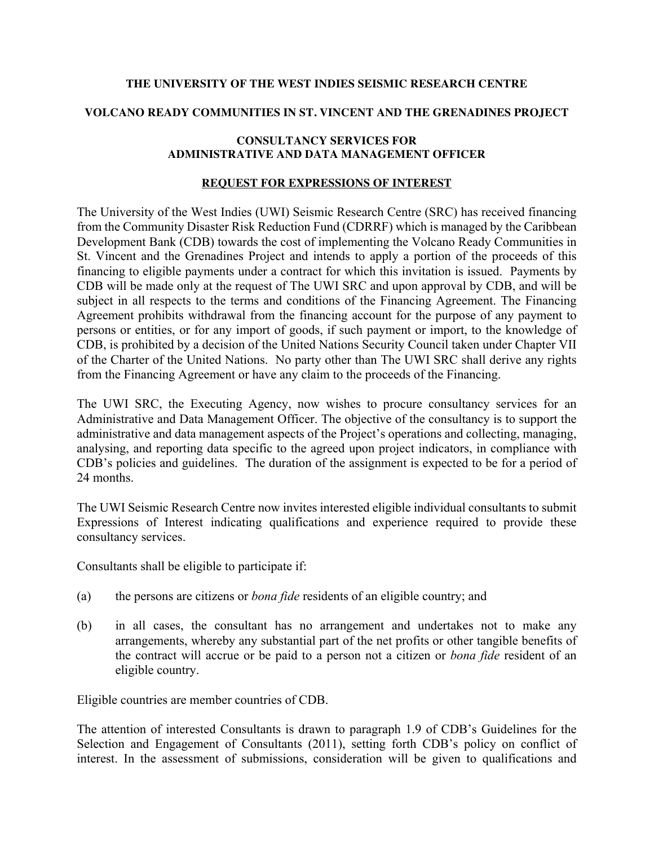## **THE UNIVERSITY OF THE WEST INDIES SEISMIC RESEARCH CENTRE**

## **VOLCANO READY COMMUNITIES IN ST. VINCENT AND THE GRENADINES PROJECT**

## **CONSULTANCY SERVICES FOR ADMINISTRATIVE AND DATA MANAGEMENT OFFICER**

## **REQUEST FOR EXPRESSIONS OF INTEREST**

The University of the West Indies (UWI) Seismic Research Centre (SRC) has received financing from the Community Disaster Risk Reduction Fund (CDRRF) which is managed by the Caribbean Development Bank (CDB) towards the cost of implementing the Volcano Ready Communities in St. Vincent and the Grenadines Project and intends to apply a portion of the proceeds of this financing to eligible payments under a contract for which this invitation is issued. Payments by CDB will be made only at the request of The UWI SRC and upon approval by CDB, and will be subject in all respects to the terms and conditions of the Financing Agreement. The Financing Agreement prohibits withdrawal from the financing account for the purpose of any payment to persons or entities, or for any import of goods, if such payment or import, to the knowledge of CDB, is prohibited by a decision of the United Nations Security Council taken under Chapter VII of the Charter of the United Nations. No party other than The UWI SRC shall derive any rights from the Financing Agreement or have any claim to the proceeds of the Financing.

The UWI SRC, the Executing Agency, now wishes to procure consultancy services for an Administrative and Data Management Officer. The objective of the consultancy is to support the administrative and data management aspects of the Project's operations and collecting, managing, analysing, and reporting data specific to the agreed upon project indicators, in compliance with CDB's policies and guidelines. The duration of the assignment is expected to be for a period of 24 months.

The UWI Seismic Research Centre now invites interested eligible individual consultants to submit Expressions of Interest indicating qualifications and experience required to provide these consultancy services.

Consultants shall be eligible to participate if:

- (a) the persons are citizens or *bona fide* residents of an eligible country; and
- (b) in all cases, the consultant has no arrangement and undertakes not to make any arrangements, whereby any substantial part of the net profits or other tangible benefits of the contract will accrue or be paid to a person not a citizen or *bona fide* resident of an eligible country.

Eligible countries are member countries of CDB.

The attention of interested Consultants is drawn to paragraph 1.9 of CDB's Guidelines for the Selection and Engagement of Consultants (2011), setting forth CDB's policy on conflict of interest. In the assessment of submissions, consideration will be given to qualifications and